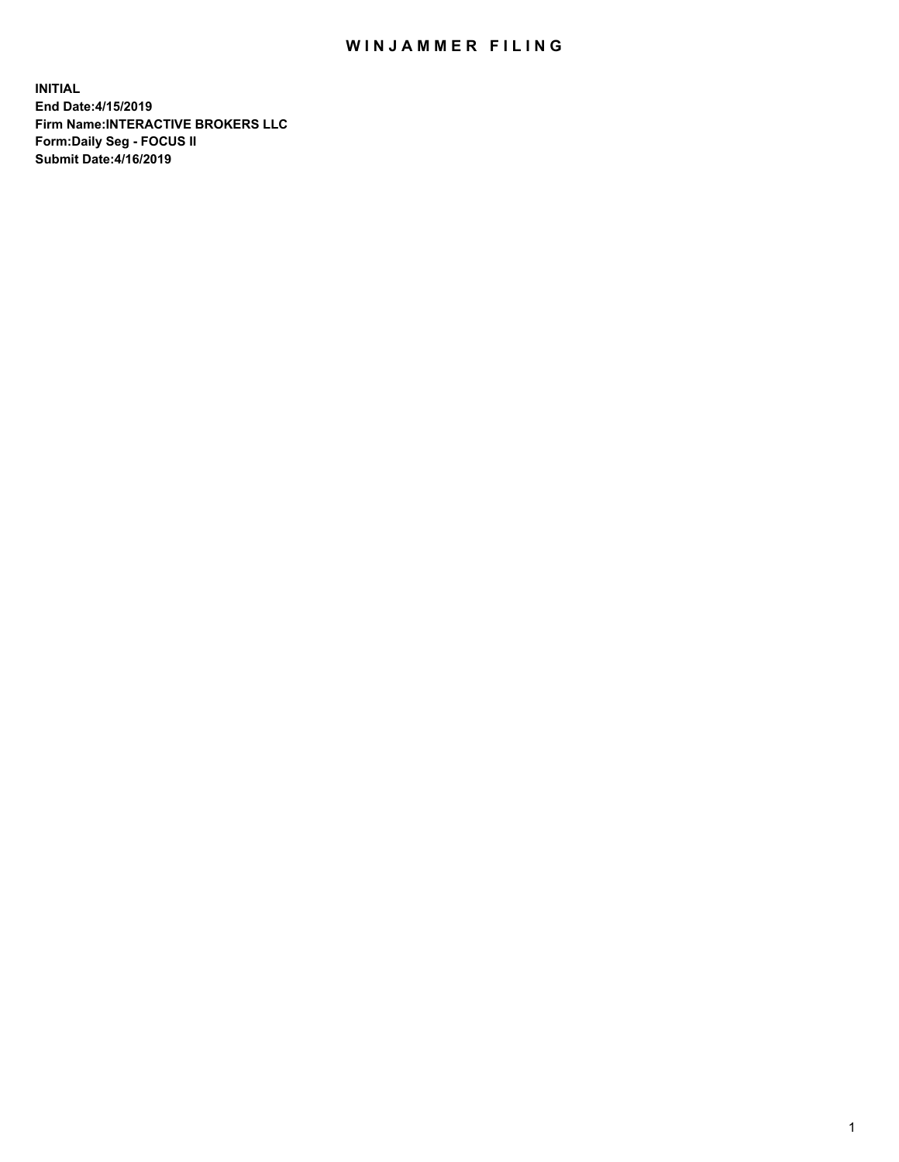## WIN JAMMER FILING

**INITIAL End Date:4/15/2019 Firm Name:INTERACTIVE BROKERS LLC Form:Daily Seg - FOCUS II Submit Date:4/16/2019**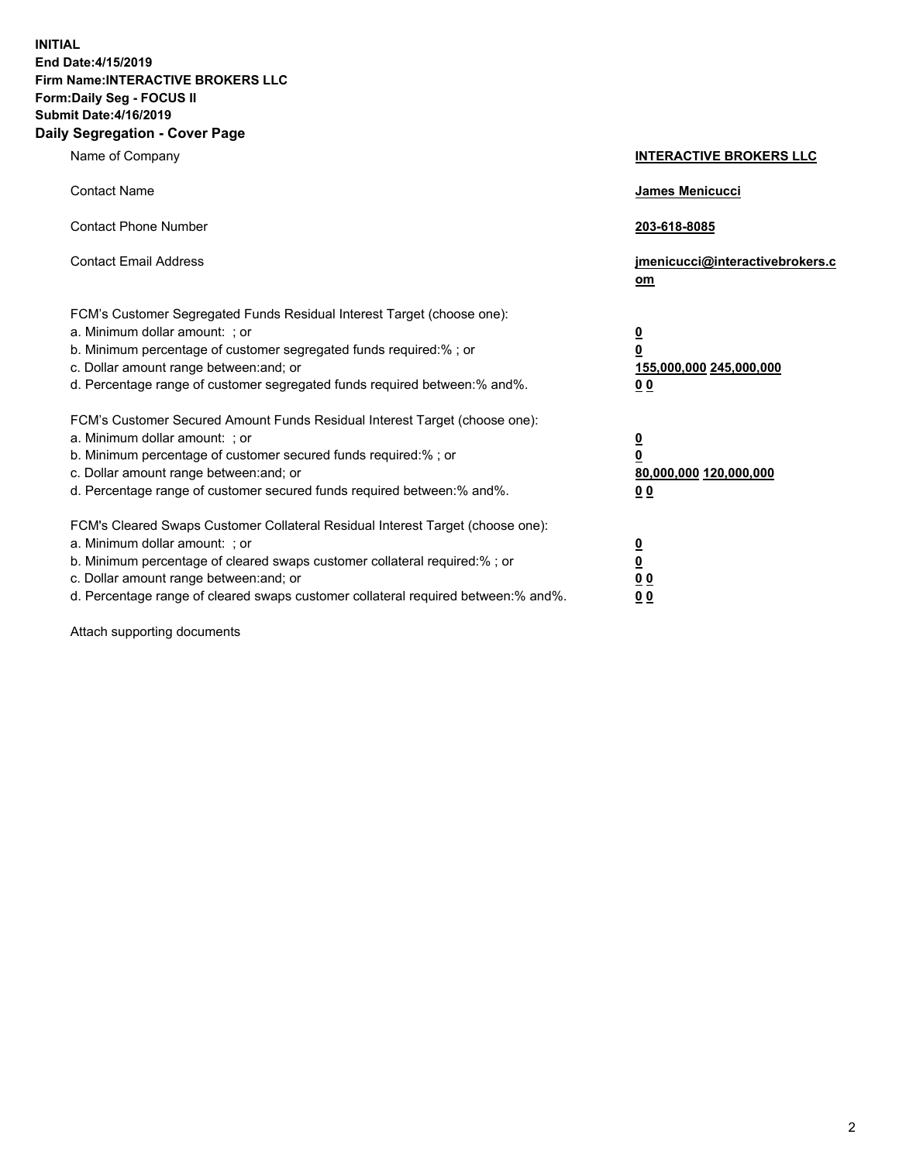**INITIAL End Date:4/15/2019 Firm Name:INTERACTIVE BROKERS LLC Form:Daily Seg - FOCUS II Submit Date:4/16/2019 Daily Segregation - Cover Page**

| Name of Company                                                                                                                                                                                                                                                                                                                | <b>INTERACTIVE BROKERS LLC</b>                                                                  |
|--------------------------------------------------------------------------------------------------------------------------------------------------------------------------------------------------------------------------------------------------------------------------------------------------------------------------------|-------------------------------------------------------------------------------------------------|
| <b>Contact Name</b>                                                                                                                                                                                                                                                                                                            | James Menicucci                                                                                 |
| <b>Contact Phone Number</b>                                                                                                                                                                                                                                                                                                    | 203-618-8085                                                                                    |
| <b>Contact Email Address</b>                                                                                                                                                                                                                                                                                                   | jmenicucci@interactivebrokers.c<br>om                                                           |
| FCM's Customer Segregated Funds Residual Interest Target (choose one):<br>a. Minimum dollar amount: ; or<br>b. Minimum percentage of customer segregated funds required:%; or<br>c. Dollar amount range between: and; or<br>d. Percentage range of customer segregated funds required between:% and%.                          | $\overline{\mathbf{0}}$<br>$\overline{\mathbf{0}}$<br>155,000,000 245,000,000<br>0 <sub>0</sub> |
| FCM's Customer Secured Amount Funds Residual Interest Target (choose one):<br>a. Minimum dollar amount: ; or<br>b. Minimum percentage of customer secured funds required:% ; or<br>c. Dollar amount range between: and; or<br>d. Percentage range of customer secured funds required between:% and%.                           | $\overline{\mathbf{0}}$<br>$\overline{\mathbf{0}}$<br>80,000,000 120,000,000<br>0 <sub>0</sub>  |
| FCM's Cleared Swaps Customer Collateral Residual Interest Target (choose one):<br>a. Minimum dollar amount: ; or<br>b. Minimum percentage of cleared swaps customer collateral required:% ; or<br>c. Dollar amount range between: and; or<br>d. Percentage range of cleared swaps customer collateral required between:% and%. | $\overline{\mathbf{0}}$<br>$\underline{\mathbf{0}}$<br>0 <sub>0</sub><br>0 <sub>0</sub>         |

Attach supporting documents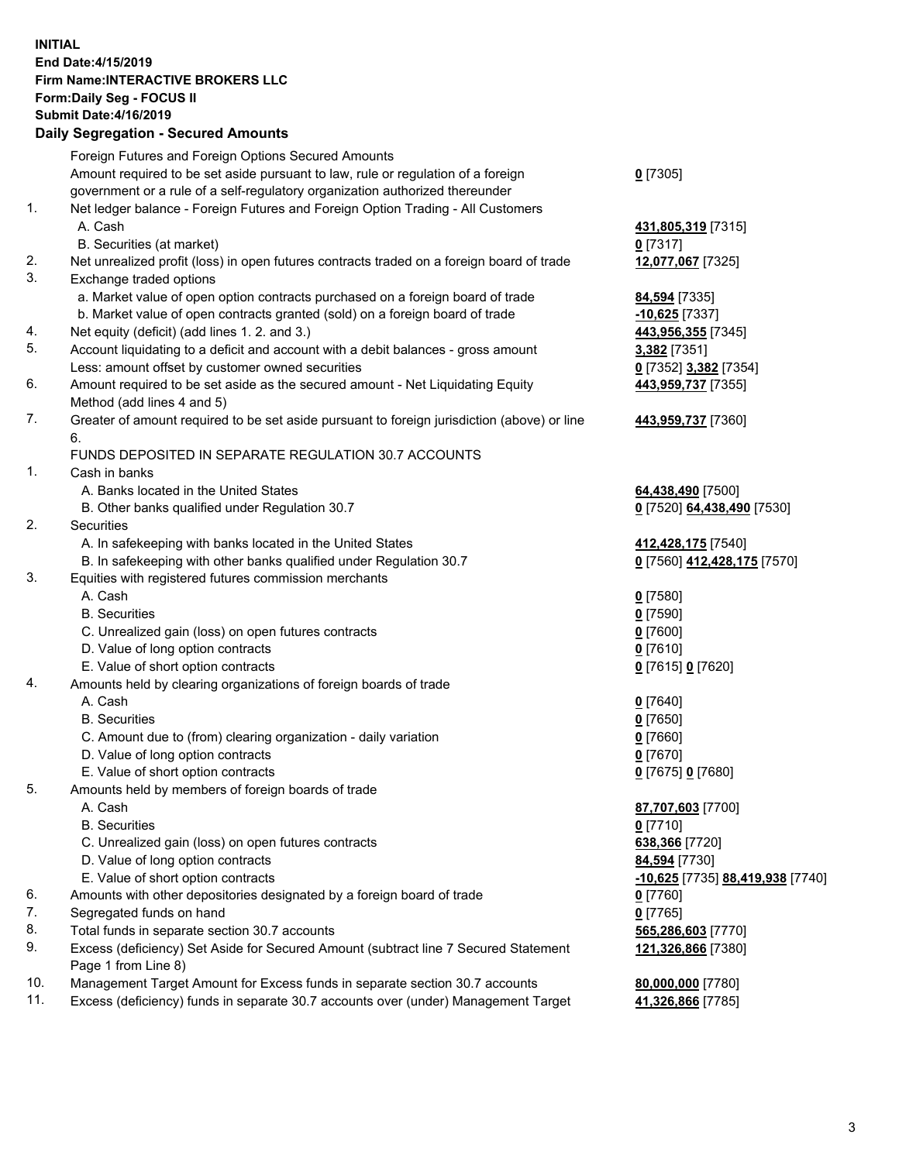## **INITIAL End Date:4/15/2019 Firm Name:INTERACTIVE BROKERS LLC Form:Daily Seg - FOCUS II Submit Date:4/16/2019 Daily Segregation - Secured Amounts**

|     | Daily Segregation - Secured Amounts                                                         |                                  |
|-----|---------------------------------------------------------------------------------------------|----------------------------------|
|     | Foreign Futures and Foreign Options Secured Amounts                                         |                                  |
|     | Amount required to be set aside pursuant to law, rule or regulation of a foreign            | $0$ [7305]                       |
|     | government or a rule of a self-regulatory organization authorized thereunder                |                                  |
| 1.  | Net ledger balance - Foreign Futures and Foreign Option Trading - All Customers             |                                  |
|     | A. Cash                                                                                     | 431,805,319 [7315]               |
|     | B. Securities (at market)                                                                   | $0$ [7317]                       |
| 2.  | Net unrealized profit (loss) in open futures contracts traded on a foreign board of trade   | 12,077,067 [7325]                |
| 3.  | Exchange traded options                                                                     |                                  |
|     | a. Market value of open option contracts purchased on a foreign board of trade              | 84,594 [7335]                    |
|     | b. Market value of open contracts granted (sold) on a foreign board of trade                | $-10,625$ [7337]                 |
| 4.  | Net equity (deficit) (add lines 1. 2. and 3.)                                               | 443,956,355 [7345]               |
| 5.  | Account liquidating to a deficit and account with a debit balances - gross amount           | 3,382 [7351]                     |
|     | Less: amount offset by customer owned securities                                            | 0 [7352] 3,382 [7354]            |
| 6.  | Amount required to be set aside as the secured amount - Net Liquidating Equity              | 443,959,737 [7355]               |
|     | Method (add lines 4 and 5)                                                                  |                                  |
| 7.  | Greater of amount required to be set aside pursuant to foreign jurisdiction (above) or line | 443,959,737 [7360]               |
|     | 6.                                                                                          |                                  |
|     | FUNDS DEPOSITED IN SEPARATE REGULATION 30.7 ACCOUNTS                                        |                                  |
| 1.  | Cash in banks                                                                               |                                  |
|     | A. Banks located in the United States                                                       | 64,438,490 [7500]                |
|     | B. Other banks qualified under Regulation 30.7                                              | 0 [7520] 64,438,490 [7530]       |
| 2.  | Securities                                                                                  |                                  |
|     | A. In safekeeping with banks located in the United States                                   | 412,428,175 [7540]               |
|     | B. In safekeeping with other banks qualified under Regulation 30.7                          | 0 [7560] 412,428,175 [7570]      |
| 3.  | Equities with registered futures commission merchants                                       |                                  |
|     | A. Cash                                                                                     | $0$ [7580]                       |
|     | <b>B.</b> Securities                                                                        | $0$ [7590]                       |
|     | C. Unrealized gain (loss) on open futures contracts                                         | $0$ [7600]                       |
|     | D. Value of long option contracts                                                           | $0$ [7610]                       |
|     | E. Value of short option contracts                                                          | 0 [7615] 0 [7620]                |
| 4.  | Amounts held by clearing organizations of foreign boards of trade                           |                                  |
|     | A. Cash                                                                                     | $0$ [7640]                       |
|     | <b>B.</b> Securities                                                                        | $0$ [7650]                       |
|     | C. Amount due to (from) clearing organization - daily variation                             | $0$ [7660]                       |
|     | D. Value of long option contracts                                                           | $0$ [7670]                       |
| 5.  | E. Value of short option contracts                                                          | 0 [7675] 0 [7680]                |
|     | Amounts held by members of foreign boards of trade                                          |                                  |
|     | A. Cash<br><b>B.</b> Securities                                                             | 87,707,603 [7700]<br>$0$ [7710]  |
|     | C. Unrealized gain (loss) on open futures contracts                                         | 638,366 [7720]                   |
|     | D. Value of long option contracts                                                           | 84,594 [7730]                    |
|     | E. Value of short option contracts                                                          | -10,625 [7735] 88,419,938 [7740] |
| 6.  | Amounts with other depositories designated by a foreign board of trade                      | 0 [7760]                         |
| 7.  | Segregated funds on hand                                                                    | $0$ [7765]                       |
| 8.  | Total funds in separate section 30.7 accounts                                               | 565,286,603 [7770]               |
| 9.  | Excess (deficiency) Set Aside for Secured Amount (subtract line 7 Secured Statement         | 121,326,866 [7380]               |
|     | Page 1 from Line 8)                                                                         |                                  |
| 10. | Management Target Amount for Excess funds in separate section 30.7 accounts                 | 80,000,000 [7780]                |
| 11. | Excess (deficiency) funds in separate 30.7 accounts over (under) Management Target          | 41,326,866 [7785]                |
|     |                                                                                             |                                  |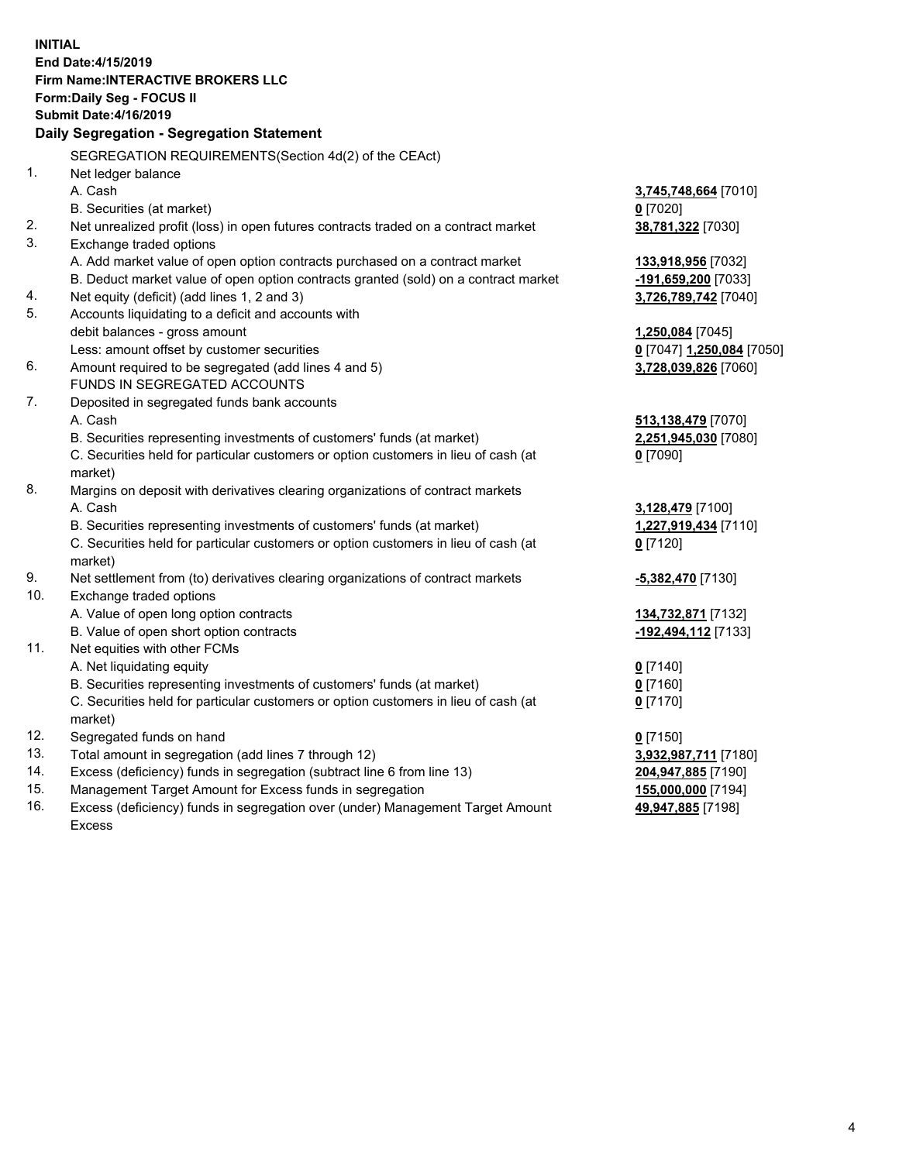**INITIAL End Date:4/15/2019 Firm Name:INTERACTIVE BROKERS LLC Form:Daily Seg - FOCUS II Submit Date:4/16/2019 Daily Segregation - Segregation Statement** SEGREGATION REQUIREMENTS(Section 4d(2) of the CEAct) 1. Net ledger balance A. Cash **3,745,748,664** [7010] B. Securities (at market) **0** [7020] 2. Net unrealized profit (loss) in open futures contracts traded on a contract market **38,781,322** [7030] 3. Exchange traded options A. Add market value of open option contracts purchased on a contract market **133,918,956** [7032] B. Deduct market value of open option contracts granted (sold) on a contract market **-191,659,200** [7033] 4. Net equity (deficit) (add lines 1, 2 and 3) **3,726,789,742** [7040] 5. Accounts liquidating to a deficit and accounts with debit balances - gross amount **1,250,084** [7045] Less: amount offset by customer securities **0** [7047] **1,250,084** [7050] 6. Amount required to be segregated (add lines 4 and 5) **3,728,039,826** [7060] FUNDS IN SEGREGATED ACCOUNTS 7. Deposited in segregated funds bank accounts A. Cash **513,138,479** [7070] B. Securities representing investments of customers' funds (at market) **2,251,945,030** [7080] C. Securities held for particular customers or option customers in lieu of cash (at market) **0** [7090] 8. Margins on deposit with derivatives clearing organizations of contract markets A. Cash **3,128,479** [7100] B. Securities representing investments of customers' funds (at market) **1,227,919,434** [7110] C. Securities held for particular customers or option customers in lieu of cash (at market) **0** [7120] 9. Net settlement from (to) derivatives clearing organizations of contract markets **-5,382,470** [7130] 10. Exchange traded options A. Value of open long option contracts **134,732,871** [7132] B. Value of open short option contracts **-192,494,112** [7133] 11. Net equities with other FCMs A. Net liquidating equity **0** [7140] B. Securities representing investments of customers' funds (at market) **0** [7160] C. Securities held for particular customers or option customers in lieu of cash (at market) **0** [7170] 12. Segregated funds on hand **0** [7150] 13. Total amount in segregation (add lines 7 through 12) **3,932,987,711** [7180] 14. Excess (deficiency) funds in segregation (subtract line 6 from line 13) **204,947,885** [7190] 15. Management Target Amount for Excess funds in segregation **155,000,000** [7194]

16. Excess (deficiency) funds in segregation over (under) Management Target Amount Excess

**49,947,885** [7198]